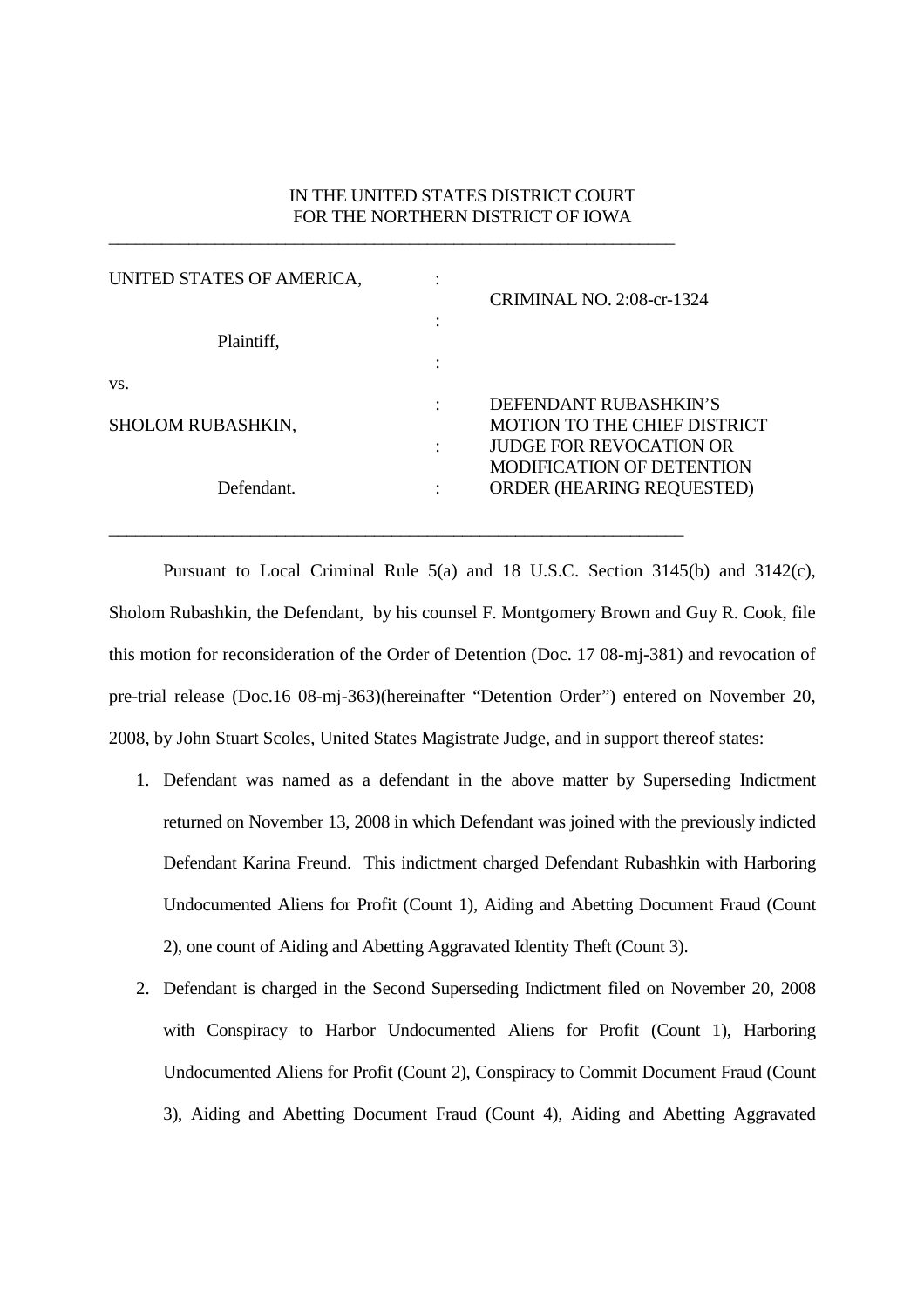## IN THE UNITED STATES DISTRICT COURT FOR THE NORTHERN DISTRICT OF IOWA

| UNITED STATES OF AMERICA, |        |                                  |
|---------------------------|--------|----------------------------------|
|                           |        | <b>CRIMINAL NO. 2:08-cr-1324</b> |
|                           | ٠<br>٠ |                                  |
| Plaintiff,                |        |                                  |
|                           | ٠      |                                  |
| VS.                       |        |                                  |
|                           |        | DEFENDANT RUBASHKIN'S            |
| <b>SHOLOM RUBASHKIN,</b>  |        | MOTION TO THE CHIEF DISTRICT     |
|                           |        | <b>JUDGE FOR REVOCATION OR</b>   |
|                           |        | <b>MODIFICATION OF DETENTION</b> |
| Defendant.                |        | <b>ORDER (HEARING REQUESTED)</b> |
|                           |        |                                  |

\_\_\_\_\_\_\_\_\_\_\_\_\_\_\_\_\_\_\_\_\_\_\_\_\_\_\_\_\_\_\_\_\_\_\_\_\_\_\_\_\_\_\_\_\_\_\_\_\_\_\_\_\_\_\_\_\_\_\_\_\_\_\_\_

\_\_\_\_\_\_\_\_\_\_\_\_\_\_\_\_\_\_\_\_\_\_\_\_\_\_\_\_\_\_\_\_\_\_\_\_\_\_\_\_\_\_\_\_\_\_\_\_\_\_\_\_\_\_\_\_\_\_\_\_\_\_\_\_\_

Pursuant to Local Criminal Rule 5(a) and 18 U.S.C. Section 3145(b) and 3142(c), Sholom Rubashkin, the Defendant, by his counsel F. Montgomery Brown and Guy R. Cook, file this motion for reconsideration of the Order of Detention (Doc. 17 08-mj-381) and revocation of pre-trial release (Doc.16 08-mj-363)(hereinafter "Detention Order") entered on November 20, 2008, by John Stuart Scoles, United States Magistrate Judge, and in support thereof states:

- 1. Defendant was named as a defendant in the above matter by Superseding Indictment returned on November 13, 2008 in which Defendant was joined with the previously indicted Defendant Karina Freund. This indictment charged Defendant Rubashkin with Harboring Undocumented Aliens for Profit (Count 1), Aiding and Abetting Document Fraud (Count 2), one count of Aiding and Abetting Aggravated Identity Theft (Count 3).
- 2. Defendant is charged in the Second Superseding Indictment filed on November 20, 2008 with Conspiracy to Harbor Undocumented Aliens for Profit (Count 1), Harboring Undocumented Aliens for Profit (Count 2), Conspiracy to Commit Document Fraud (Count 3), Aiding and Abetting Document Fraud (Count 4), Aiding and Abetting Aggravated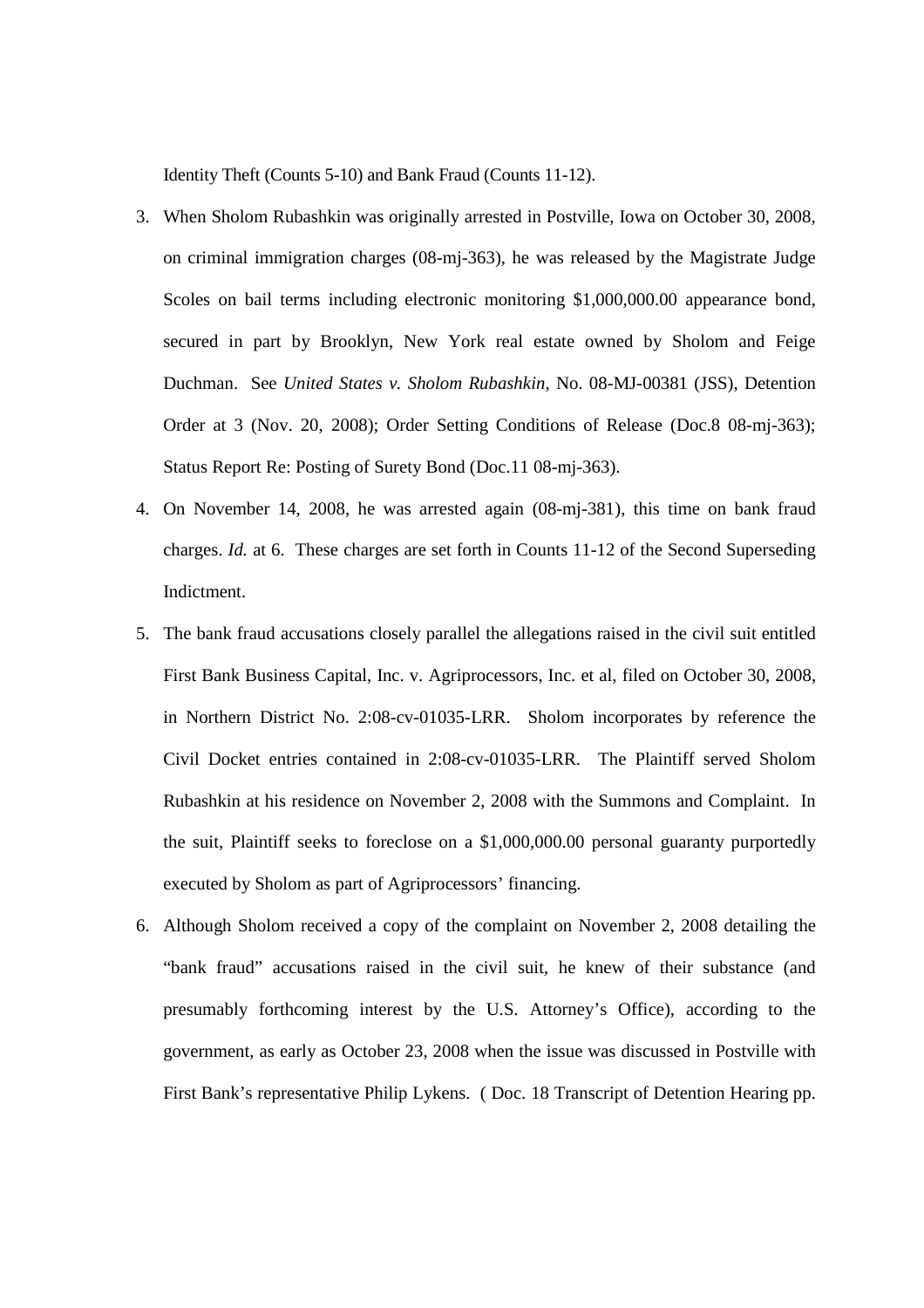Identity Theft (Counts 5-10) and Bank Fraud (Counts 11-12).

- 3. When Sholom Rubashkin was originally arrested in Postville, Iowa on October 30, 2008, on criminal immigration charges (08-mj-363), he was released by the Magistrate Judge Scoles on bail terms including electronic monitoring \$1,000,000.00 appearance bond, secured in part by Brooklyn, New York real estate owned by Sholom and Feige Duchman. See *United States v. Sholom Rubashkin,* No. 08-MJ-00381 (JSS), Detention Order at 3 (Nov. 20, 2008); Order Setting Conditions of Release (Doc.8 08-mj-363); Status Report Re: Posting of Surety Bond (Doc.11 08-mj-363).
- 4. On November 14, 2008, he was arrested again (08-mj-381), this time on bank fraud charges. *Id.* at 6. These charges are set forth in Counts 11-12 of the Second Superseding Indictment.
- 5. The bank fraud accusations closely parallel the allegations raised in the civil suit entitled First Bank Business Capital, Inc. v. Agriprocessors, Inc. et al, filed on October 30, 2008, in Northern District No. 2:08-cv-01035-LRR. Sholom incorporates by reference the Civil Docket entries contained in 2:08-cv-01035-LRR. The Plaintiff served Sholom Rubashkin at his residence on November 2, 2008 with the Summons and Complaint. In the suit, Plaintiff seeks to foreclose on a \$1,000,000.00 personal guaranty purportedly executed by Sholom as part of Agriprocessors' financing.
- 6. Although Sholom received a copy of the complaint on November 2, 2008 detailing the "bank fraud" accusations raised in the civil suit, he knew of their substance (and presumably forthcoming interest by the U.S. Attorney's Office), according to the government, as early as October 23, 2008 when the issue was discussed in Postville with First Bank's representative Philip Lykens. ( Doc. 18 Transcript of Detention Hearing pp.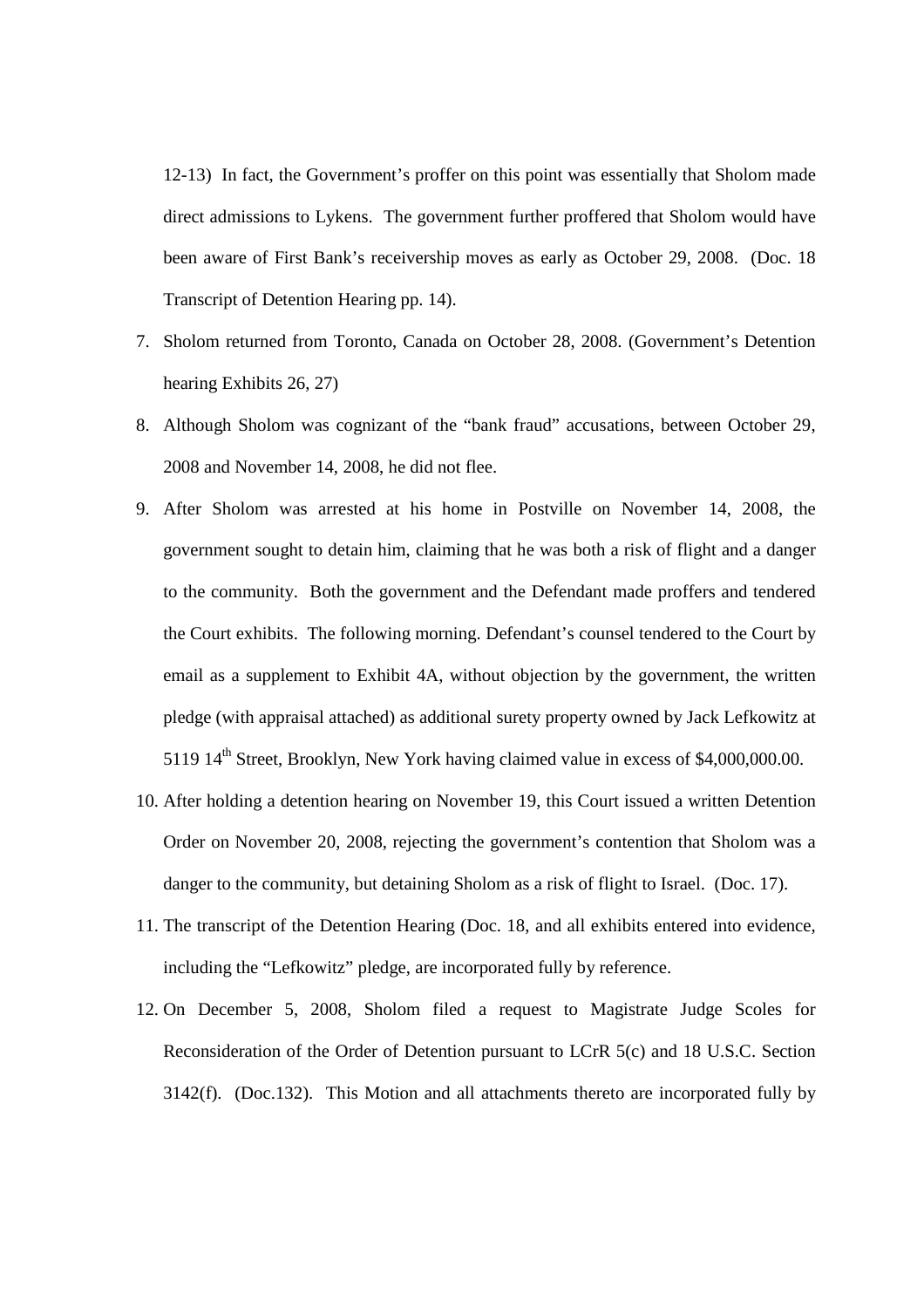12-13) In fact, the Government's proffer on this point was essentially that Sholom made direct admissions to Lykens. The government further proffered that Sholom would have been aware of First Bank's receivership moves as early as October 29, 2008. (Doc. 18 Transcript of Detention Hearing pp. 14).

- 7. Sholom returned from Toronto, Canada on October 28, 2008. (Government's Detention hearing Exhibits 26, 27)
- 8. Although Sholom was cognizant of the "bank fraud" accusations, between October 29, 2008 and November 14, 2008, he did not flee.
- 9. After Sholom was arrested at his home in Postville on November 14, 2008, the government sought to detain him, claiming that he was both a risk of flight and a danger to the community. Both the government and the Defendant made proffers and tendered the Court exhibits. The following morning. Defendant's counsel tendered to the Court by email as a supplement to Exhibit 4A, without objection by the government, the written pledge (with appraisal attached) as additional surety property owned by Jack Lefkowitz at 5119 14<sup>th</sup> Street, Brooklyn, New York having claimed value in excess of \$4,000,000.00.
- 10. After holding a detention hearing on November 19, this Court issued a written Detention Order on November 20, 2008, rejecting the government's contention that Sholom was a danger to the community, but detaining Sholom as a risk of flight to Israel. (Doc. 17).
- 11. The transcript of the Detention Hearing (Doc. 18, and all exhibits entered into evidence, including the "Lefkowitz" pledge, are incorporated fully by reference.
- 12. On December 5, 2008, Sholom filed a request to Magistrate Judge Scoles for Reconsideration of the Order of Detention pursuant to LCrR 5(c) and 18 U.S.C. Section 3142(f). (Doc.132). This Motion and all attachments thereto are incorporated fully by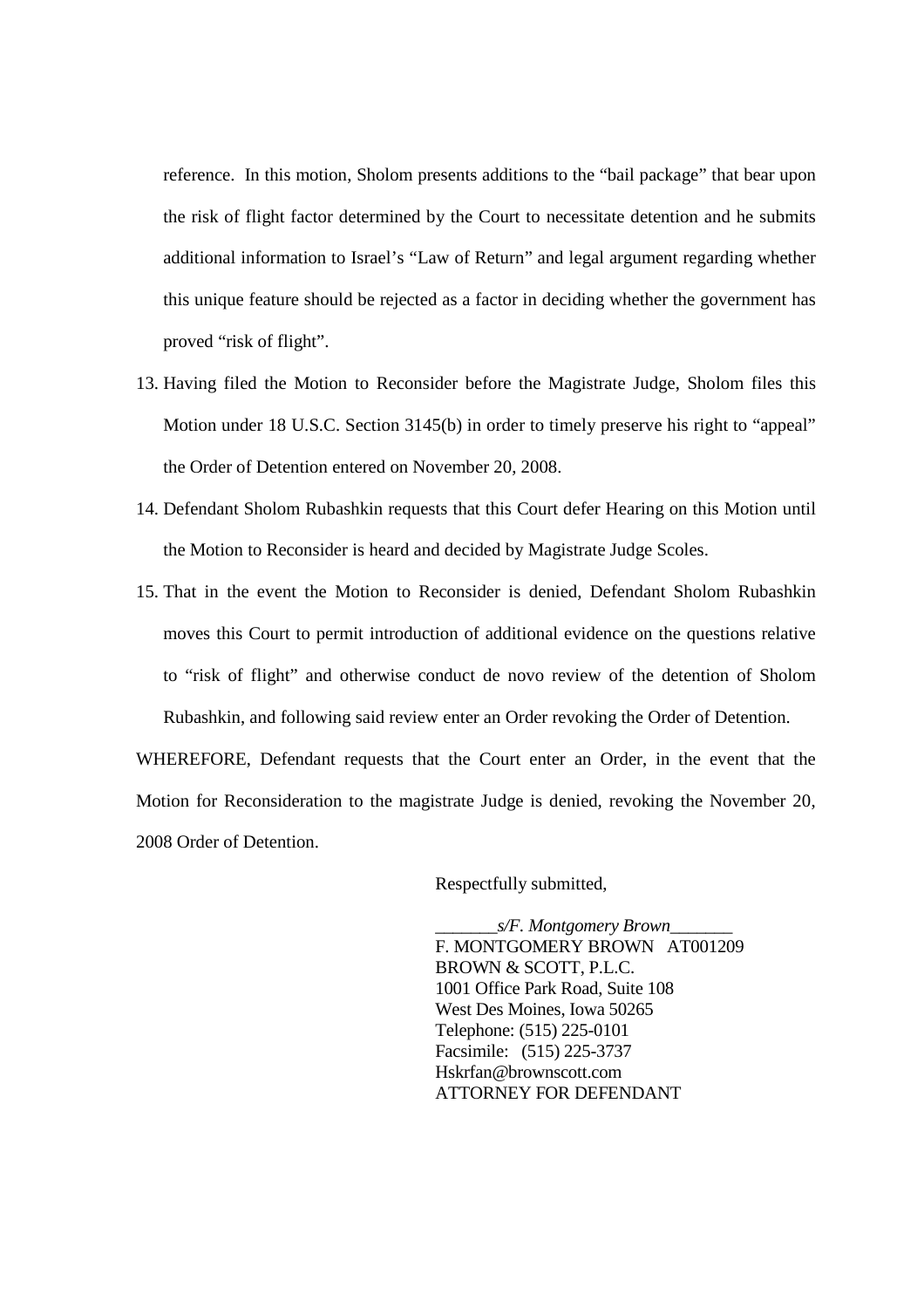reference. In this motion, Sholom presents additions to the "bail package" that bear upon the risk of flight factor determined by the Court to necessitate detention and he submits additional information to Israel's "Law of Return" and legal argument regarding whether this unique feature should be rejected as a factor in deciding whether the government has proved "risk of flight".

- 13. Having filed the Motion to Reconsider before the Magistrate Judge, Sholom files this Motion under 18 U.S.C. Section 3145(b) in order to timely preserve his right to "appeal" the Order of Detention entered on November 20, 2008.
- 14. Defendant Sholom Rubashkin requests that this Court defer Hearing on this Motion until the Motion to Reconsider is heard and decided by Magistrate Judge Scoles.
- 15. That in the event the Motion to Reconsider is denied, Defendant Sholom Rubashkin moves this Court to permit introduction of additional evidence on the questions relative to "risk of flight" and otherwise conduct de novo review of the detention of Sholom Rubashkin, and following said review enter an Order revoking the Order of Detention.

WHEREFORE, Defendant requests that the Court enter an Order, in the event that the Motion for Reconsideration to the magistrate Judge is denied, revoking the November 20, 2008 Order of Detention.

Respectfully submitted,

\_\_\_\_\_\_\_*s/F. Montgomery Brown*\_\_\_\_\_\_\_ F. MONTGOMERY BROWN AT001209 BROWN & SCOTT, P.L.C. 1001 Office Park Road, Suite 108 West Des Moines, Iowa 50265 Telephone: (515) 225-0101 Facsimile: (515) 225-3737 Hskrfan@brownscott.com ATTORNEY FOR DEFENDANT